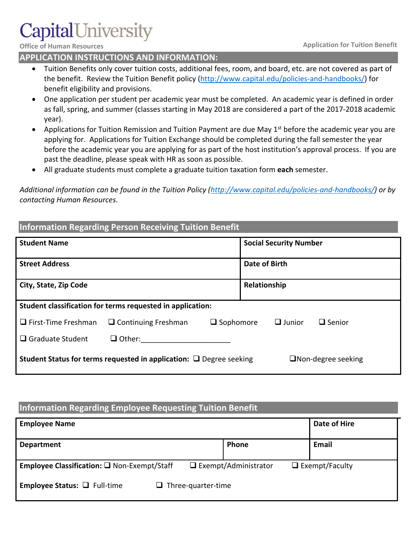#### **Office of Human Resources Application for Tuition Benefit**

# **APPLICATION INSTRUCTIONS AND INFORMATION:**

- Tuition Benefits only cover tuition costs, additional fees, room, and board, etc. are not covered as part of the benefit. Review the Tuition Benefit policy [\(http://www.capital.edu/policies-and-handbooks/\)](http://www.capital.edu/policies-and-handbooks/) for benefit eligibility and provisions.
- One application per student per academic year must be completed. An academic year is defined in order as fall, spring, and summer (classes starting in May 2018 are considered a part of the 2017-2018 academic year).
- Applications for Tuition Remission and Tuition Payment are due May 1<sup>st</sup> before the academic year you are applying for. Applications for Tuition Exchange should be completed during the fall semester the year before the academic year you are applying for as part of the host institution's approval process. If you are past the deadline, please speak with HR as soon as possible.
- All graduate students must complete a graduate tuition taxation form **each** semester.

*Additional information can be found in the Tuition Policy [\(http://www.capital.edu/policies-and-handbooks/\)](http://www.capital.edu/policies-and-handbooks/) or by contacting Human Resources.*

| <b>Information Regarding Person Receiving Tuition Benefit</b>            |                            |                                                    |                           |  |  |  |  |
|--------------------------------------------------------------------------|----------------------------|----------------------------------------------------|---------------------------|--|--|--|--|
| <b>Student Name</b>                                                      |                            | <b>Social Security Number</b>                      |                           |  |  |  |  |
| <b>Street Address</b>                                                    |                            |                                                    | Date of Birth             |  |  |  |  |
| City, State, Zip Code                                                    |                            |                                                    | Relationship              |  |  |  |  |
| Student classification for terms requested in application:               |                            |                                                    |                           |  |  |  |  |
| $\Box$ First-Time Freshman                                               | $\Box$ Continuing Freshman | $\Box$ Junior<br>$\Box$ Senior<br>$\Box$ Sophomore |                           |  |  |  |  |
| $\Box$ Graduate Student                                                  | $\Box$ Other:              |                                                    |                           |  |  |  |  |
| Student Status for terms requested in application: $\Box$ Degree seeking |                            |                                                    | $\Box$ Non-degree seeking |  |  |  |  |

## **Information Regarding Employee Requesting Tuition Benefit**

| <b>Employee Name</b>                                                  |                                                      | Date of Hire |  |
|-----------------------------------------------------------------------|------------------------------------------------------|--------------|--|
| <b>Department</b>                                                     | Phone                                                | Email        |  |
| Employee Classification: Q Non-Exempt/Staff                           | $\Box$ Exempt/Administrator<br>$\Box$ Exempt/Faculty |              |  |
| <b>Employee Status:</b> $\Box$ Full-time<br>$\Box$ Three-quarter-time |                                                      |              |  |